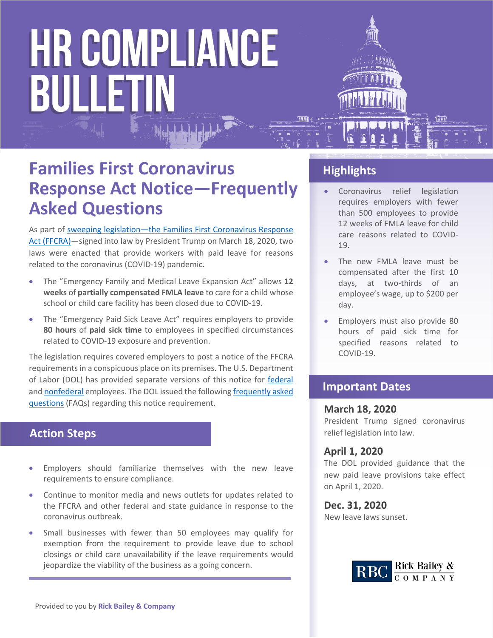# **HR COMPLIANCE** BULLETIN



- Coronavirus relief legislation requires employers with fewer than 500 employees to provide 12 weeks of FMLA leave for child care reasons related to COVID-19.
- The new FMLA leave must be compensated after the first 10 days, at two-thirds of an employee's wage, up to \$200 per day.
- Employers must also provide 80 hours of paid sick time for specified reasons related to COVID-19.

#### **Important Dates**

#### **March 18, 2020**

President Trump signed coronavirus relief legislation into law.

#### **April 1, 2020**

The DOL provided guidance that the new paid leave provisions take effect on April 1, 2020.

#### **Dec. 31, 2020**

New leave laws sunset.



### **Families First Coronavirus Response Act Notice—Frequently Asked Questions**

As part of [sweeping legislation—](https://nam05.safelinks.protection.outlook.com/?url=https://www.congress.gov/116/bills/hr6201/BILLS-116hr6201eh.pdf&data=02%7C01%7Cerica.storm@zywave.com%7C459e233fc6934cded2b508d7cb812f4a%7Cbd0c095f5d664273a20964796ae91974%7C0%7C1%7C637201628024420928&sdata=HFlrBZfQwm7SpWa30q81dwGt7V3XB0EI4s/X9gbQrdQ=&reserved=0)the Families First Coronavirus Response Act (FFCRA)—signed into law by President Trump on March 18, 2020, two laws were enacted that provide workers with paid leave for reasons related to the coronavirus (COVID-19) pandemic.

- The "Emergency Family and Medical Leave Expansion Act" allows **12 weeks** of **partially compensated FMLA leave** to care for a child whose school or child care facility has been closed due to COVID-19.
- The "Emergency Paid Sick Leave Act" requires employers to provide **80 hours** of **paid sick time** to employees in specified circumstances related to COVID-19 exposure and prevention.

The legislation requires covered employers to post a notice of the FFCRA requirements in a conspicuous place on its premises. The U.S. Department of Labor (DOL) has provided separate versions of this notice for [federal](https://www.dol.gov/sites/dolgov/files/WHD/posters/FFCRA_Poster_WH1422_Federal.pdf) and [nonfederal](https://www.dol.gov/sites/dolgov/files/WHD/posters/FFCRA_Poster_WH1422_Non-Federal.pdf) employees. The DOL issued the following [frequently asked](https://www.dol.gov/agencies/whd/pandemic/ffcra-poster-questions)  [questions](https://www.dol.gov/agencies/whd/pandemic/ffcra-poster-questions) (FAQs) regarding this notice requirement.

#### **Action Steps**

- Employers should familiarize themselves with the new leave requirements to ensure compliance.
- Continue to monitor media and news outlets for updates related to the FFCRA and other federal and state guidance in response to the coronavirus outbreak.
- Small businesses with fewer than 50 employees may qualify for exemption from the requirement to provide leave due to school closings or child care unavailability if the leave requirements would jeopardize the viability of the business as a going concern.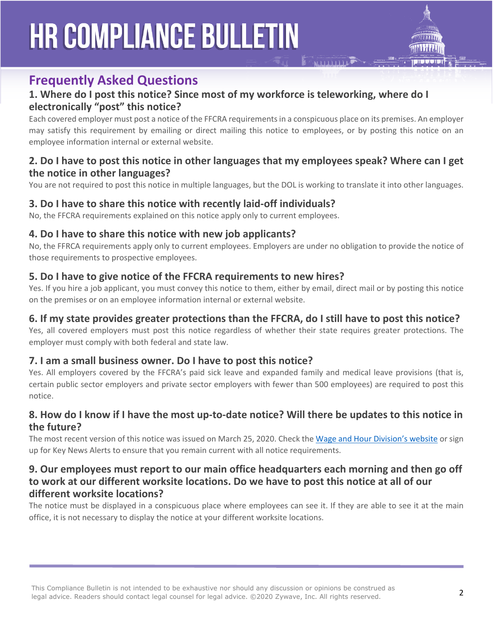## **HR COMPLIANCE BULLETIN**



#### **Frequently Asked Questions**

#### **1. Where do I post this notice? Since most of my workforce is teleworking, where do I electronically "post" this notice?**

Each covered employer must post a notice of the FFCRA requirements in a conspicuous place on its premises. An employer may satisfy this requirement by emailing or direct mailing this notice to employees, or by posting this notice on an employee information internal or external website.

#### **2. Do I have to post this notice in other languages that my employees speak? Where can I get the notice in other languages?**

You are not required to post this notice in multiple languages, but the DOL is working to translate it into other languages.

#### **3. Do I have to share this notice with recently laid-off individuals?**

No, the FFCRA requirements explained on this notice apply only to current employees.

#### **4. Do I have to share this notice with new job applicants?**

No, the FFRCA requirements apply only to current employees. Employers are under no obligation to provide the notice of those requirements to prospective employees.

#### **5. Do I have to give notice of the FFCRA requirements to new hires?**

Yes. If you hire a job applicant, you must convey this notice to them, either by email, direct mail or by posting this notice on the premises or on an employee information internal or external website.

#### **6. If my state provides greater protections than the FFCRA, do I still have to post this notice?**

Yes, all covered employers must post this notice regardless of whether their state requires greater protections. The employer must comply with both federal and state law.

#### **7. I am a small business owner. Do I have to post this notice?**

Yes. All employers covered by the FFCRA's paid sick leave and expanded family and medical leave provisions (that is, certain public sector employers and private sector employers with fewer than 500 employees) are required to post this notice.

#### **8. How do I know if I have the most up-to-date notice? Will there be updates to this notice in the future?**

The most recent version of this notice was issued on March 25, 2020. Check the [Wage and Hour Division's website](http://www.dol.gov/agencies/whd) or sign up for Key News Alerts to ensure that you remain current with all notice requirements.

#### **9. Our employees must report to our main office headquarters each morning and then go off to work at our different worksite locations. Do we have to post this notice at all of our different worksite locations?**

The notice must be displayed in a conspicuous place where employees can see it. If they are able to see it at the main office, it is not necessary to display the notice at your different worksite locations.